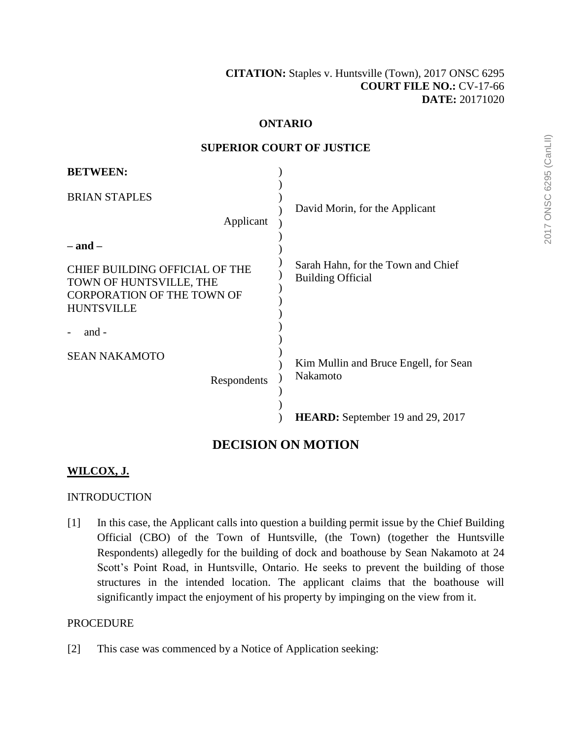## **ONTARIO**

#### **SUPERIOR COURT OF JUSTICE**

| <b>BETWEEN:</b>                                                                                                                           |                                                                                       |
|-------------------------------------------------------------------------------------------------------------------------------------------|---------------------------------------------------------------------------------------|
| <b>BRIAN STAPLES</b><br>Applicant                                                                                                         | David Morin, for the Applicant                                                        |
| $-$ and $-$<br><b>CHIEF BUILDING OFFICIAL OF THE</b><br>TOWN OF HUNTSVILLE, THE<br><b>CORPORATION OF THE TOWN OF</b><br><b>HUNTSVILLE</b> | Sarah Hahn, for the Town and Chief<br><b>Building Official</b>                        |
| and -<br><b>SEAN NAKAMOTO</b><br>Respondents                                                                                              | Kim Mullin and Bruce Engell, for Sean<br>Nakamoto<br>HEARD: September 19 and 29, 2017 |

# **DECISION ON MOTION**

# **WILCOX, J.**

# **INTRODUCTION**

[1] In this case, the Applicant calls into question a building permit issue by the Chief Building Official (CBO) of the Town of Huntsville, (the Town) (together the Huntsville Respondents) allegedly for the building of dock and boathouse by Sean Nakamoto at 24 Scott's Point Road, in Huntsville, Ontario. He seeks to prevent the building of those structures in the intended location. The applicant claims that the boathouse will significantly impact the enjoyment of his property by impinging on the view from it.

#### **PROCEDURE**

[2] This case was commenced by a Notice of Application seeking: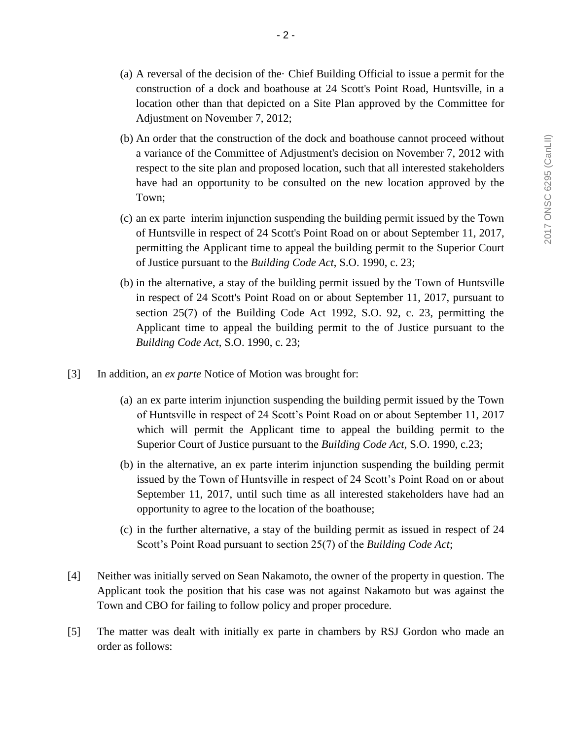- (a) A reversal of the decision of the· Chief Building Official to issue a permit for the construction of a dock and boathouse at 24 Scott's Point Road, Huntsville, in a location other than that depicted on a Site Plan approved by the Committee for Adjustment on November 7, 2012;
- (b) An order that the construction of the dock and boathouse cannot proceed without a variance of the Committee of Adjustment's decision on November 7, 2012 with respect to the site plan and proposed location, such that all interested stakeholders have had an opportunity to be consulted on the new location approved by the Town;
- (c) an ex parte interim injunction suspending the building permit issued by the Town of Huntsville in respect of 24 Scott's Point Road on or about September 11, 2017, permitting the Applicant time to appeal the building permit to the Superior Court of Justice pursuant to the *Building Code Act*, S.O. 1990, c. 23;
- (b) in the alternative, a stay of the building permit issued by the Town of Huntsville in respect of 24 Scott's Point Road on or about September 11, 2017, pursuant to section 25(7) of the Building Code Act 1992, S.O. 92, c. 23, permitting the Applicant time to appeal the building permit to the of Justice pursuant to the *Building Code Act*, S.O. 1990, c. 23;
- [3] In addition, an *ex parte* Notice of Motion was brought for:
	- (a) an ex parte interim injunction suspending the building permit issued by the Town of Huntsville in respect of 24 Scott's Point Road on or about September 11, 2017 which will permit the Applicant time to appeal the building permit to the Superior Court of Justice pursuant to the *Building Code Act*, S.O. 1990, c.23;
	- (b) in the alternative, an ex parte interim injunction suspending the building permit issued by the Town of Huntsville in respect of 24 Scott's Point Road on or about September 11, 2017, until such time as all interested stakeholders have had an opportunity to agree to the location of the boathouse;
	- (c) in the further alternative, a stay of the building permit as issued in respect of 24 Scott's Point Road pursuant to section 25(7) of the *Building Code Act*;
- [4] Neither was initially served on Sean Nakamoto, the owner of the property in question. The Applicant took the position that his case was not against Nakamoto but was against the Town and CBO for failing to follow policy and proper procedure.
- [5] The matter was dealt with initially ex parte in chambers by RSJ Gordon who made an order as follows: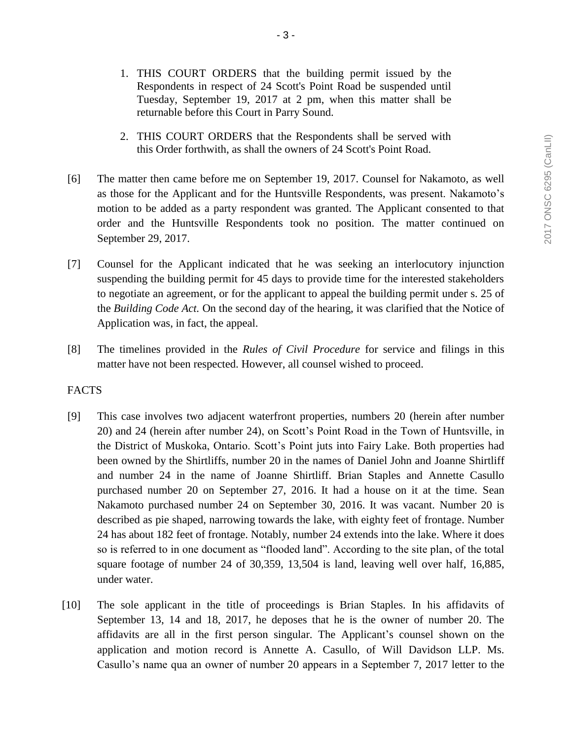- 1. THIS COURT ORDERS that the building permit issued by the Respondents in respect of 24 Scott's Point Road be suspended until Tuesday, September 19, 2017 at 2 pm, when this matter shall be returnable before this Court in Parry Sound.
- 2. THIS COURT ORDERS that the Respondents shall be served with this Order forthwith, as shall the owners of 24 Scott's Point Road.
- [6] The matter then came before me on September 19, 2017. Counsel for Nakamoto, as well as those for the Applicant and for the Huntsville Respondents, was present. Nakamoto's motion to be added as a party respondent was granted. The Applicant consented to that order and the Huntsville Respondents took no position. The matter continued on September 29, 2017.
- [7] Counsel for the Applicant indicated that he was seeking an interlocutory injunction suspending the building permit for 45 days to provide time for the interested stakeholders to negotiate an agreement, or for the applicant to appeal the building permit under s. 25 of the *Building Code Act.* On the second day of the hearing, it was clarified that the Notice of Application was, in fact, the appeal.
- [8] The timelines provided in the *Rules of Civil Procedure* for service and filings in this matter have not been respected. However, all counsel wished to proceed.

## FACTS

- [9] This case involves two adjacent waterfront properties, numbers 20 (herein after number 20) and 24 (herein after number 24), on Scott's Point Road in the Town of Huntsville, in the District of Muskoka, Ontario. Scott's Point juts into Fairy Lake. Both properties had been owned by the Shirtliffs, number 20 in the names of Daniel John and Joanne Shirtliff and number 24 in the name of Joanne Shirtliff. Brian Staples and Annette Casullo purchased number 20 on September 27, 2016. It had a house on it at the time. Sean Nakamoto purchased number 24 on September 30, 2016. It was vacant. Number 20 is described as pie shaped, narrowing towards the lake, with eighty feet of frontage. Number 24 has about 182 feet of frontage. Notably, number 24 extends into the lake. Where it does so is referred to in one document as "flooded land". According to the site plan, of the total square footage of number 24 of 30,359, 13,504 is land, leaving well over half, 16,885, under water.
- [10] The sole applicant in the title of proceedings is Brian Staples. In his affidavits of September 13, 14 and 18, 2017, he deposes that he is the owner of number 20. The affidavits are all in the first person singular. The Applicant's counsel shown on the application and motion record is Annette A. Casullo, of Will Davidson LLP. Ms. Casullo's name qua an owner of number 20 appears in a September 7, 2017 letter to the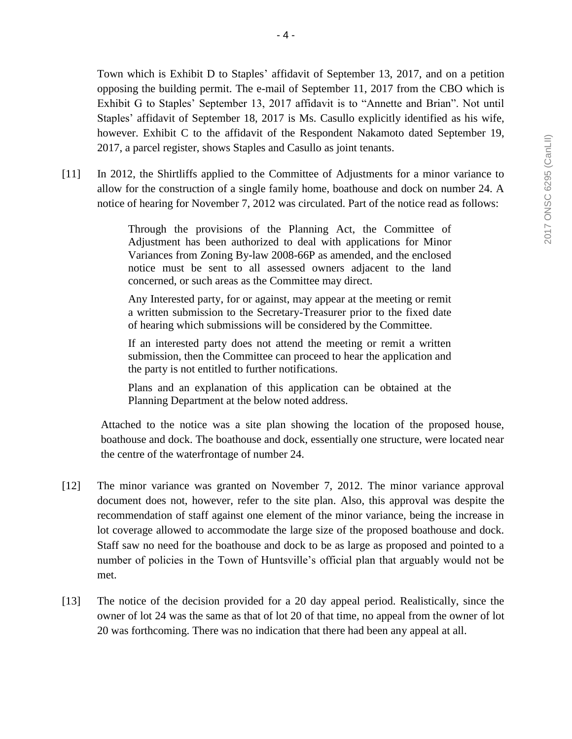Town which is Exhibit D to Staples' affidavit of September 13, 2017, and on a petition opposing the building permit. The e-mail of September 11, 2017 from the CBO which is Exhibit G to Staples' September 13, 2017 affidavit is to "Annette and Brian". Not until Staples' affidavit of September 18, 2017 is Ms. Casullo explicitly identified as his wife, however. Exhibit C to the affidavit of the Respondent Nakamoto dated September 19, 2017, a parcel register, shows Staples and Casullo as joint tenants.

[11] In 2012, the Shirtliffs applied to the Committee of Adjustments for a minor variance to allow for the construction of a single family home, boathouse and dock on number 24. A notice of hearing for November 7, 2012 was circulated. Part of the notice read as follows:

> Through the provisions of the Planning Act, the Committee of Adjustment has been authorized to deal with applications for Minor Variances from Zoning By-law 2008-66P as amended, and the enclosed notice must be sent to all assessed owners adjacent to the land concerned, or such areas as the Committee may direct.

> Any Interested party, for or against, may appear at the meeting or remit a written submission to the Secretary-Treasurer prior to the fixed date of hearing which submissions will be considered by the Committee.

> If an interested party does not attend the meeting or remit a written submission, then the Committee can proceed to hear the application and the party is not entitled to further notifications.

> Plans and an explanation of this application can be obtained at the Planning Department at the below noted address.

Attached to the notice was a site plan showing the location of the proposed house, boathouse and dock. The boathouse and dock, essentially one structure, were located near the centre of the waterfrontage of number 24.

- [12] The minor variance was granted on November 7, 2012. The minor variance approval document does not, however, refer to the site plan. Also, this approval was despite the recommendation of staff against one element of the minor variance, being the increase in lot coverage allowed to accommodate the large size of the proposed boathouse and dock. Staff saw no need for the boathouse and dock to be as large as proposed and pointed to a number of policies in the Town of Huntsville's official plan that arguably would not be met.
- [13] The notice of the decision provided for a 20 day appeal period. Realistically, since the owner of lot 24 was the same as that of lot 20 of that time, no appeal from the owner of lot 20 was forthcoming. There was no indication that there had been any appeal at all.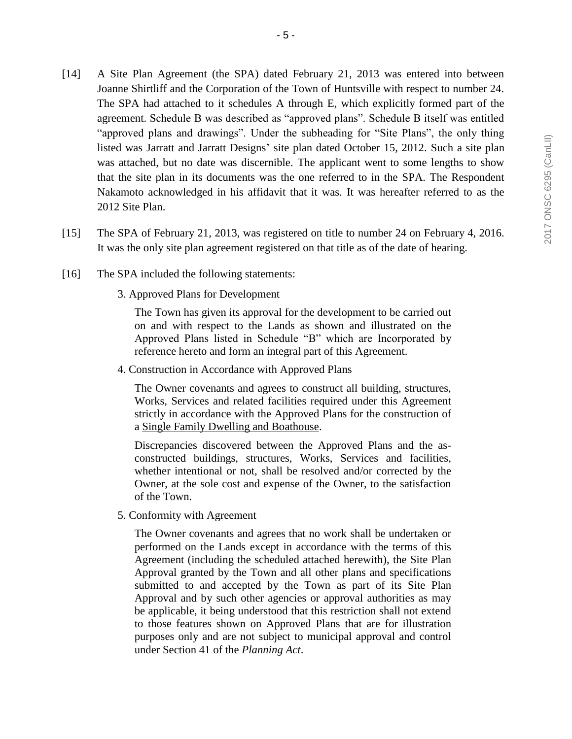- [14] A Site Plan Agreement (the SPA) dated February 21, 2013 was entered into between Joanne Shirtliff and the Corporation of the Town of Huntsville with respect to number 24. The SPA had attached to it schedules A through E, which explicitly formed part of the agreement. Schedule B was described as "approved plans". Schedule B itself was entitled "approved plans and drawings". Under the subheading for "Site Plans", the only thing listed was Jarratt and Jarratt Designs' site plan dated October 15, 2012. Such a site plan was attached, but no date was discernible. The applicant went to some lengths to show that the site plan in its documents was the one referred to in the SPA. The Respondent Nakamoto acknowledged in his affidavit that it was. It was hereafter referred to as the 2012 Site Plan.
- [15] The SPA of February 21, 2013, was registered on title to number 24 on February 4, 2016. It was the only site plan agreement registered on that title as of the date of hearing.
- [16] The SPA included the following statements:
	- 3. Approved Plans for Development

The Town has given its approval for the development to be carried out on and with respect to the Lands as shown and illustrated on the Approved Plans listed in Schedule "B" which are Incorporated by reference hereto and form an integral part of this Agreement.

4. Construction in Accordance with Approved Plans

The Owner covenants and agrees to construct all building, structures, Works, Services and related facilities required under this Agreement strictly in accordance with the Approved Plans for the construction of a Single Family Dwelling and Boathouse.

Discrepancies discovered between the Approved Plans and the asconstructed buildings, structures, Works, Services and facilities, whether intentional or not, shall be resolved and/or corrected by the Owner, at the sole cost and expense of the Owner, to the satisfaction of the Town.

5. Conformity with Agreement

The Owner covenants and agrees that no work shall be undertaken or performed on the Lands except in accordance with the terms of this Agreement (including the scheduled attached herewith), the Site Plan Approval granted by the Town and all other plans and specifications submitted to and accepted by the Town as part of its Site Plan Approval and by such other agencies or approval authorities as may be applicable, it being understood that this restriction shall not extend to those features shown on Approved Plans that are for illustration purposes only and are not subject to municipal approval and control under Section 41 of the *Planning Act*.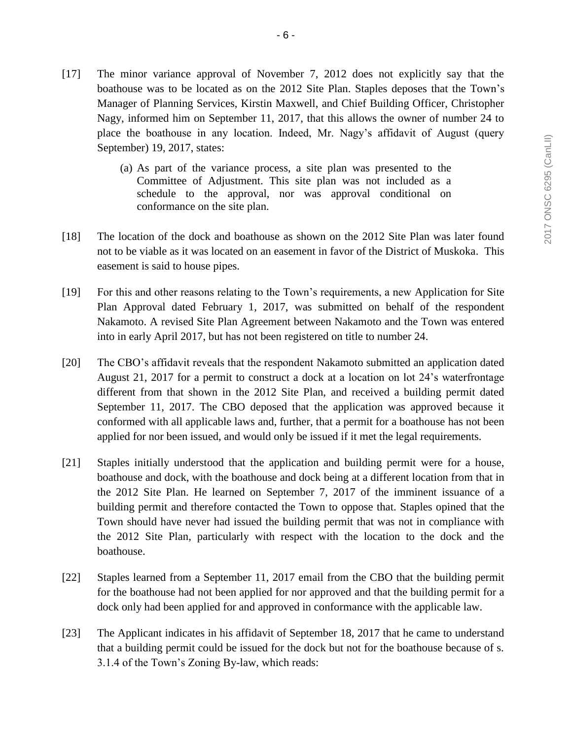- [17] The minor variance approval of November 7, 2012 does not explicitly say that the boathouse was to be located as on the 2012 Site Plan. Staples deposes that the Town's Manager of Planning Services, Kirstin Maxwell, and Chief Building Officer, Christopher Nagy, informed him on September 11, 2017, that this allows the owner of number 24 to place the boathouse in any location. Indeed, Mr. Nagy's affidavit of August (query September) 19, 2017, states:
	- (a) As part of the variance process, a site plan was presented to the Committee of Adjustment. This site plan was not included as a schedule to the approval, nor was approval conditional on conformance on the site plan.
- [18] The location of the dock and boathouse as shown on the 2012 Site Plan was later found not to be viable as it was located on an easement in favor of the District of Muskoka. This easement is said to house pipes.
- [19] For this and other reasons relating to the Town's requirements, a new Application for Site Plan Approval dated February 1, 2017, was submitted on behalf of the respondent Nakamoto. A revised Site Plan Agreement between Nakamoto and the Town was entered into in early April 2017, but has not been registered on title to number 24.
- [20] The CBO's affidavit reveals that the respondent Nakamoto submitted an application dated August 21, 2017 for a permit to construct a dock at a location on lot 24's waterfrontage different from that shown in the 2012 Site Plan, and received a building permit dated September 11, 2017. The CBO deposed that the application was approved because it conformed with all applicable laws and, further, that a permit for a boathouse has not been applied for nor been issued, and would only be issued if it met the legal requirements.
- [21] Staples initially understood that the application and building permit were for a house, boathouse and dock, with the boathouse and dock being at a different location from that in the 2012 Site Plan. He learned on September 7, 2017 of the imminent issuance of a building permit and therefore contacted the Town to oppose that. Staples opined that the Town should have never had issued the building permit that was not in compliance with the 2012 Site Plan, particularly with respect with the location to the dock and the boathouse.
- [22] Staples learned from a September 11, 2017 email from the CBO that the building permit for the boathouse had not been applied for nor approved and that the building permit for a dock only had been applied for and approved in conformance with the applicable law.
- [23] The Applicant indicates in his affidavit of September 18, 2017 that he came to understand that a building permit could be issued for the dock but not for the boathouse because of s. 3.1.4 of the Town's Zoning By-law, which reads: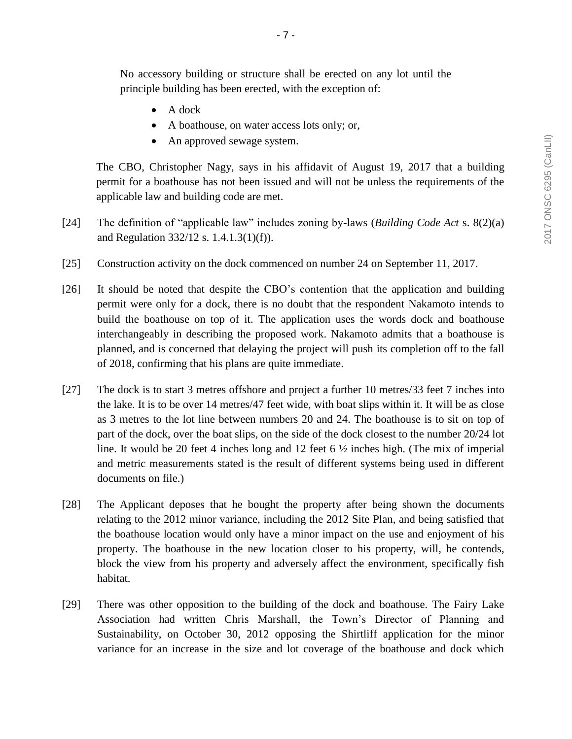No accessory building or structure shall be erected on any lot until the principle building has been erected, with the exception of:

- $\bullet$  A dock
- A boathouse, on water access lots only; or,
- An approved sewage system.

The CBO, Christopher Nagy, says in his affidavit of August 19, 2017 that a building permit for a boathouse has not been issued and will not be unless the requirements of the applicable law and building code are met.

- [24] The definition of "applicable law" includes zoning by-laws (*Building Code Act* s. 8(2)(a) and Regulation 332/12 s. 1.4.1.3(1)(f)).
- [25] Construction activity on the dock commenced on number 24 on September 11, 2017.
- [26] It should be noted that despite the CBO's contention that the application and building permit were only for a dock, there is no doubt that the respondent Nakamoto intends to build the boathouse on top of it. The application uses the words dock and boathouse interchangeably in describing the proposed work. Nakamoto admits that a boathouse is planned, and is concerned that delaying the project will push its completion off to the fall of 2018, confirming that his plans are quite immediate.
- [27] The dock is to start 3 metres offshore and project a further 10 metres/33 feet 7 inches into the lake. It is to be over 14 metres/47 feet wide, with boat slips within it. It will be as close as 3 metres to the lot line between numbers 20 and 24. The boathouse is to sit on top of part of the dock, over the boat slips, on the side of the dock closest to the number 20/24 lot line. It would be 20 feet 4 inches long and 12 feet 6 ½ inches high. (The mix of imperial and metric measurements stated is the result of different systems being used in different documents on file.)
- [28] The Applicant deposes that he bought the property after being shown the documents relating to the 2012 minor variance, including the 2012 Site Plan, and being satisfied that the boathouse location would only have a minor impact on the use and enjoyment of his property. The boathouse in the new location closer to his property, will, he contends, block the view from his property and adversely affect the environment, specifically fish habitat.
- [29] There was other opposition to the building of the dock and boathouse. The Fairy Lake Association had written Chris Marshall, the Town's Director of Planning and Sustainability, on October 30, 2012 opposing the Shirtliff application for the minor variance for an increase in the size and lot coverage of the boathouse and dock which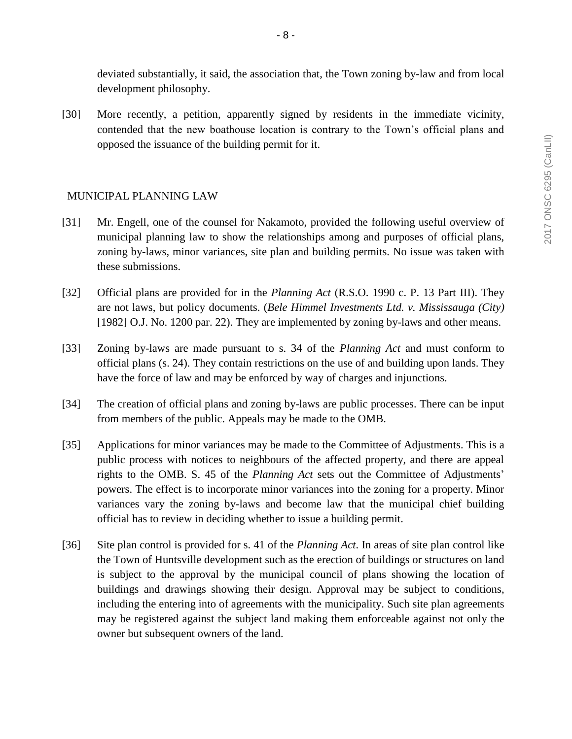deviated substantially, it said, the association that, the Town zoning by-law and from local development philosophy.

[30] More recently, a petition, apparently signed by residents in the immediate vicinity, contended that the new boathouse location is contrary to the Town's official plans and opposed the issuance of the building permit for it.

## MUNICIPAL PLANNING LAW

- [31] Mr. Engell, one of the counsel for Nakamoto, provided the following useful overview of municipal planning law to show the relationships among and purposes of official plans, zoning by-laws, minor variances, site plan and building permits. No issue was taken with these submissions.
- [32] Official plans are provided for in the *Planning Act* (R.S.O. 1990 c. P. 13 Part III). They are not laws, but policy documents. (*Bele Himmel Investments Ltd. v. Mississauga (City)* [1982] O.J. No. 1200 par. 22). They are implemented by zoning by-laws and other means.
- [33] Zoning by-laws are made pursuant to s. 34 of the *Planning Act* and must conform to official plans (s. 24). They contain restrictions on the use of and building upon lands. They have the force of law and may be enforced by way of charges and injunctions.
- [34] The creation of official plans and zoning by-laws are public processes. There can be input from members of the public. Appeals may be made to the OMB.
- [35] Applications for minor variances may be made to the Committee of Adjustments. This is a public process with notices to neighbours of the affected property, and there are appeal rights to the OMB. S. 45 of the *Planning Act* sets out the Committee of Adjustments' powers. The effect is to incorporate minor variances into the zoning for a property. Minor variances vary the zoning by-laws and become law that the municipal chief building official has to review in deciding whether to issue a building permit.
- [36] Site plan control is provided for s. 41 of the *Planning Act*. In areas of site plan control like the Town of Huntsville development such as the erection of buildings or structures on land is subject to the approval by the municipal council of plans showing the location of buildings and drawings showing their design. Approval may be subject to conditions, including the entering into of agreements with the municipality. Such site plan agreements may be registered against the subject land making them enforceable against not only the owner but subsequent owners of the land.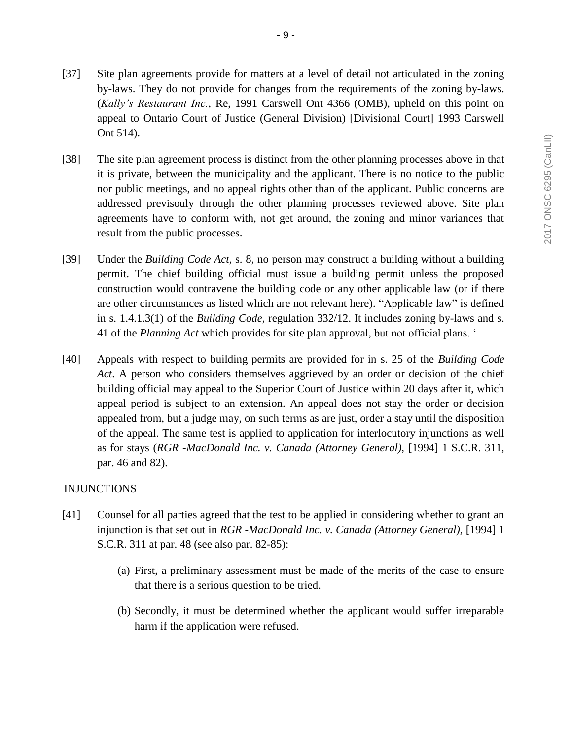- [37] Site plan agreements provide for matters at a level of detail not articulated in the zoning by-laws. They do not provide for changes from the requirements of the zoning by-laws. (*Kally's Restaurant Inc.*, Re, 1991 Carswell Ont 4366 (OMB), upheld on this point on appeal to Ontario Court of Justice (General Division) [Divisional Court] 1993 Carswell Ont 514).
- [38] The site plan agreement process is distinct from the other planning processes above in that it is private, between the municipality and the applicant. There is no notice to the public nor public meetings, and no appeal rights other than of the applicant. Public concerns are addressed previsouly through the other planning processes reviewed above. Site plan agreements have to conform with, not get around, the zoning and minor variances that result from the public processes.
- [39] Under the *Building Code Act*, s. 8, no person may construct a building without a building permit. The chief building official must issue a building permit unless the proposed construction would contravene the building code or any other applicable law (or if there are other circumstances as listed which are not relevant here). "Applicable law" is defined in s. 1.4.1.3(1) of the *Building Code,* regulation 332/12. It includes zoning by-laws and s. 41 of the *Planning Act* which provides for site plan approval, but not official plans. '
- [40] Appeals with respect to building permits are provided for in s. 25 of the *Building Code Act*. A person who considers themselves aggrieved by an order or decision of the chief building official may appeal to the Superior Court of Justice within 20 days after it, which appeal period is subject to an extension. An appeal does not stay the order or decision appealed from, but a judge may, on such terms as are just, order a stay until the disposition of the appeal. The same test is applied to application for interlocutory injunctions as well as for stays (*RGR -MacDonald Inc. v. Canada (Attorney General),* [1994] 1 S.C.R. 311, par. 46 and 82).

#### INJUNCTIONS

- [41] Counsel for all parties agreed that the test to be applied in considering whether to grant an injunction is that set out in *RGR -MacDonald Inc. v. Canada (Attorney General),* [1994] 1 S.C.R. 311 at par. 48 (see also par. 82-85):
	- (a) First, a preliminary assessment must be made of the merits of the case to ensure that there is a serious question to be tried.
	- (b) Secondly, it must be determined whether the applicant would suffer irreparable harm if the application were refused.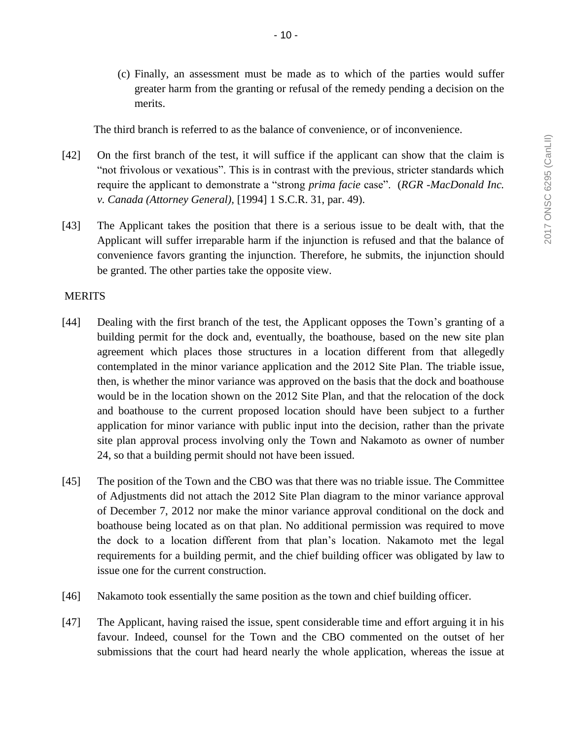(c) Finally, an assessment must be made as to which of the parties would suffer greater harm from the granting or refusal of the remedy pending a decision on the merits.

The third branch is referred to as the balance of convenience, or of inconvenience.

- [42] On the first branch of the test, it will suffice if the applicant can show that the claim is "not frivolous or vexatious". This is in contrast with the previous, stricter standards which require the applicant to demonstrate a "strong *prima facie* case". (*RGR -MacDonald Inc. v. Canada (Attorney General),* [1994] 1 S.C.R. 31, par. 49).
- [43] The Applicant takes the position that there is a serious issue to be dealt with, that the Applicant will suffer irreparable harm if the injunction is refused and that the balance of convenience favors granting the injunction. Therefore, he submits, the injunction should be granted. The other parties take the opposite view.

#### **MERITS**

- [44] Dealing with the first branch of the test, the Applicant opposes the Town's granting of a building permit for the dock and, eventually, the boathouse, based on the new site plan agreement which places those structures in a location different from that allegedly contemplated in the minor variance application and the 2012 Site Plan. The triable issue, then, is whether the minor variance was approved on the basis that the dock and boathouse would be in the location shown on the 2012 Site Plan, and that the relocation of the dock and boathouse to the current proposed location should have been subject to a further application for minor variance with public input into the decision, rather than the private site plan approval process involving only the Town and Nakamoto as owner of number 24, so that a building permit should not have been issued.
- [45] The position of the Town and the CBO was that there was no triable issue. The Committee of Adjustments did not attach the 2012 Site Plan diagram to the minor variance approval of December 7, 2012 nor make the minor variance approval conditional on the dock and boathouse being located as on that plan. No additional permission was required to move the dock to a location different from that plan's location. Nakamoto met the legal requirements for a building permit, and the chief building officer was obligated by law to issue one for the current construction.
- [46] Nakamoto took essentially the same position as the town and chief building officer.
- [47] The Applicant, having raised the issue, spent considerable time and effort arguing it in his favour. Indeed, counsel for the Town and the CBO commented on the outset of her submissions that the court had heard nearly the whole application, whereas the issue at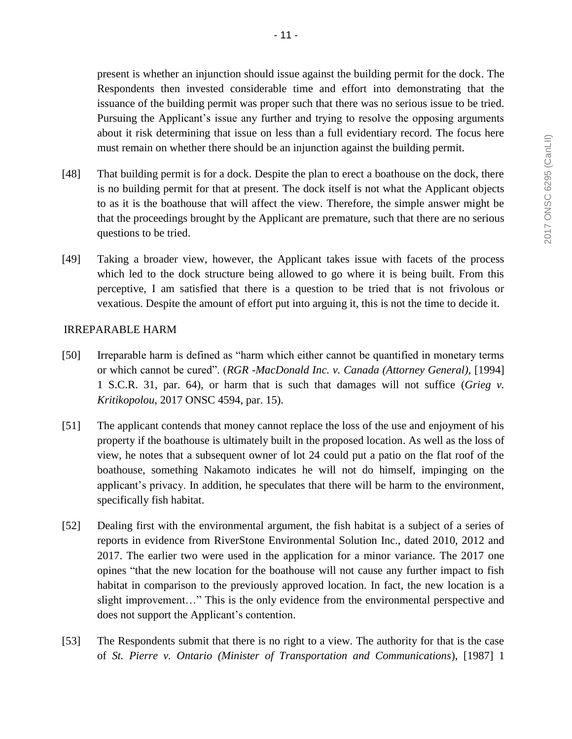present is whether an injunction should issue against the building permit for the dock. The Respondents then invested considerable time and effort into demonstrating that the issuance of the building permit was proper such that there was no serious issue to be tried. Pursuing the Applicant's issue any further and trying to resolve the opposing arguments about it risk determining that issue on less than a full evidentiary record. The focus here must remain on whether there should be an injunction against the building permit.

- [48] That building permit is for a dock. Despite the plan to erect a boathouse on the dock, there is no building permit for that at present. The dock itself is not what the Applicant objects to as it is the boathouse that will affect the view. Therefore, the simple answer might be that the proceedings brought by the Applicant are premature, such that there are no serious questions to be tried.
- [49] Taking a broader view, however, the Applicant takes issue with facets of the process which led to the dock structure being allowed to go where it is being built. From this perceptive, I am satisfied that there is a question to be tried that is not frivolous or vexatious. Despite the amount of effort put into arguing it, this is not the time to decide it.

## IRREPARABLE HARM

- [50] Irreparable harm is defined as "harm which either cannot be quantified in monetary terms or which cannot be cured". (*RGR -MacDonald Inc. v. Canada (Attorney General),* [1994] 1 S.C.R. 31, par. 64), or harm that is such that damages will not suffice (*Grieg v. Kritikopolou*, 2017 ONSC 4594, par. 15).
- [51] The applicant contends that money cannot replace the loss of the use and enjoyment of his property if the boathouse is ultimately built in the proposed location. As well as the loss of view, he notes that a subsequent owner of lot 24 could put a patio on the flat roof of the boathouse, something Nakamoto indicates he will not do himself, impinging on the applicant's privacy. In addition, he speculates that there will be harm to the environment, specifically fish habitat.
- [52] Dealing first with the environmental argument, the fish habitat is a subject of a series of reports in evidence from RiverStone Environmental Solution Inc., dated 2010, 2012 and 2017. The earlier two were used in the application for a minor variance. The 2017 one opines "that the new location for the boathouse will not cause any further impact to fish habitat in comparison to the previously approved location. In fact, the new location is a slight improvement…" This is the only evidence from the environmental perspective and does not support the Applicant's contention.
- [53] The Respondents submit that there is no right to a view. The authority for that is the case of *St. Pierre v. Ontario (Minister of Transportation and Communications*), [1987] 1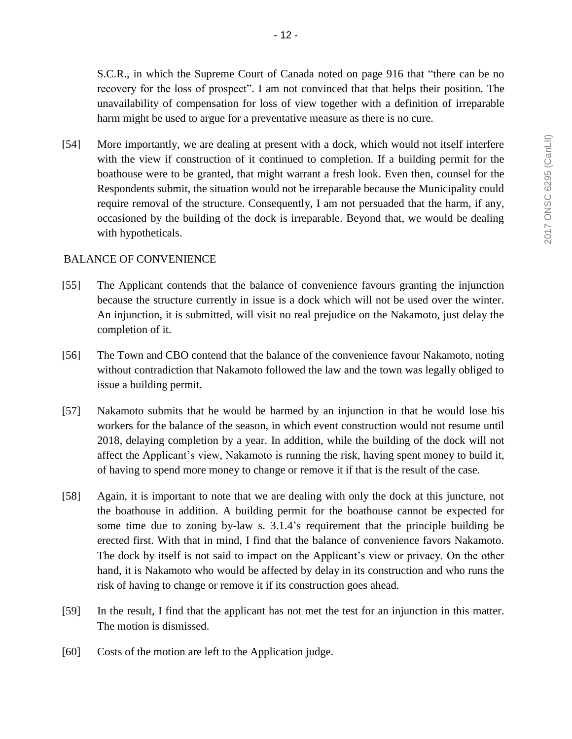- 12 -

S.C.R., in which the Supreme Court of Canada noted on page 916 that "there can be no recovery for the loss of prospect". I am not convinced that that helps their position. The unavailability of compensation for loss of view together with a definition of irreparable harm might be used to argue for a preventative measure as there is no cure.

[54] More importantly, we are dealing at present with a dock, which would not itself interfere with the view if construction of it continued to completion. If a building permit for the boathouse were to be granted, that might warrant a fresh look. Even then, counsel for the Respondents submit, the situation would not be irreparable because the Municipality could require removal of the structure. Consequently, I am not persuaded that the harm, if any, occasioned by the building of the dock is irreparable. Beyond that, we would be dealing with hypotheticals.

# BALANCE OF CONVENIENCE

- [55] The Applicant contends that the balance of convenience favours granting the injunction because the structure currently in issue is a dock which will not be used over the winter. An injunction, it is submitted, will visit no real prejudice on the Nakamoto, just delay the completion of it.
- [56] The Town and CBO contend that the balance of the convenience favour Nakamoto, noting without contradiction that Nakamoto followed the law and the town was legally obliged to issue a building permit.
- [57] Nakamoto submits that he would be harmed by an injunction in that he would lose his workers for the balance of the season, in which event construction would not resume until 2018, delaying completion by a year. In addition, while the building of the dock will not affect the Applicant's view, Nakamoto is running the risk, having spent money to build it, of having to spend more money to change or remove it if that is the result of the case.
- [58] Again, it is important to note that we are dealing with only the dock at this juncture, not the boathouse in addition. A building permit for the boathouse cannot be expected for some time due to zoning by-law s. 3.1.4's requirement that the principle building be erected first. With that in mind, I find that the balance of convenience favors Nakamoto. The dock by itself is not said to impact on the Applicant's view or privacy. On the other hand, it is Nakamoto who would be affected by delay in its construction and who runs the risk of having to change or remove it if its construction goes ahead.
- [59] In the result, I find that the applicant has not met the test for an injunction in this matter. The motion is dismissed.
- [60] Costs of the motion are left to the Application judge.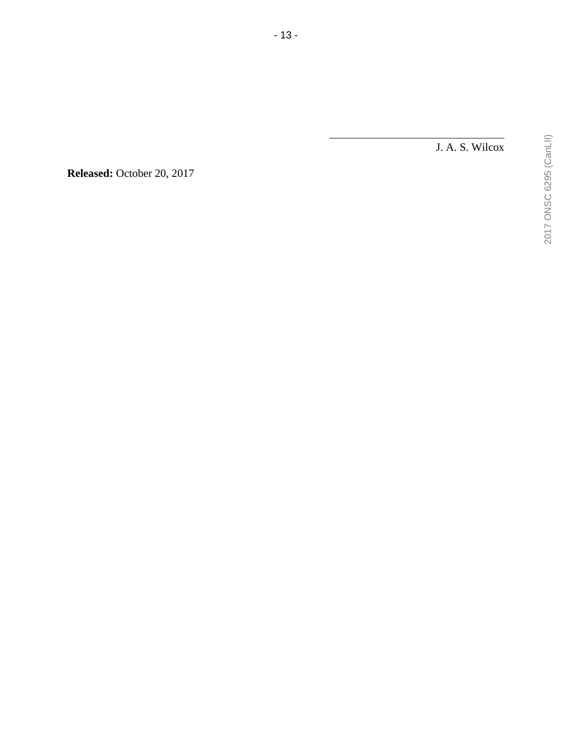J. A. S. Wilcox

2017 ONSC 6295 (CanLII) 2017 ONSC 6295 (CanLII)

**Released:** October 20, 2017